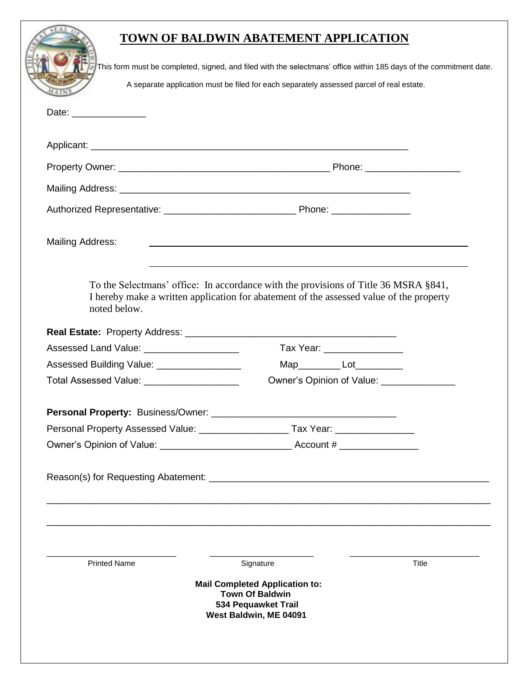|                                             | This form must be completed, signed, and filed with the selectmans' office within 185 days of the commitment date. |       |
|---------------------------------------------|--------------------------------------------------------------------------------------------------------------------|-------|
|                                             | A separate application must be filed for each separately assessed parcel of real estate.                           |       |
| Date: __________________                    |                                                                                                                    |       |
|                                             |                                                                                                                    |       |
|                                             |                                                                                                                    |       |
|                                             |                                                                                                                    |       |
|                                             |                                                                                                                    |       |
| <b>Mailing Address:</b>                     |                                                                                                                    |       |
| noted below.                                | I hereby make a written application for abatement of the assessed value of the property                            |       |
|                                             |                                                                                                                    |       |
| Assessed Land Value: ______________________ | Tax Year: _________________                                                                                        |       |
| Assessed Building Value: __________________ | Map Lot                                                                                                            |       |
| Total Assessed Value: ____________________  | Owner's Opinion of Value: _________________                                                                        |       |
|                                             |                                                                                                                    |       |
|                                             |                                                                                                                    |       |
|                                             |                                                                                                                    |       |
|                                             |                                                                                                                    |       |
|                                             |                                                                                                                    |       |
| <b>Printed Name</b>                         | Signature                                                                                                          | Title |